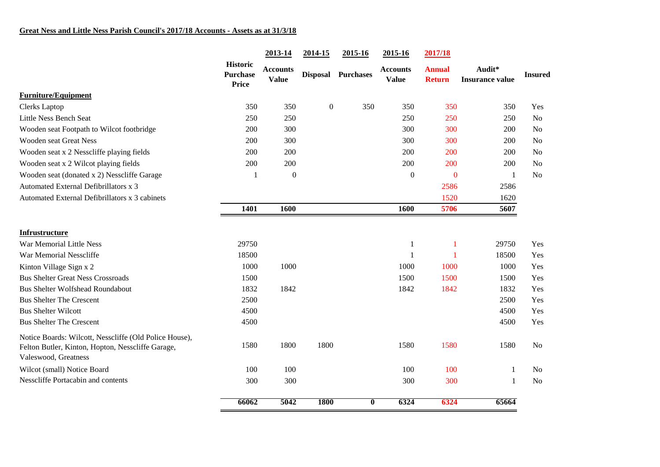|                                                                                                                                     | <b>Historic</b><br>Purchase<br><b>Price</b> | 2013-14                         | 2014-15     | 2015-16            | 2015-16                         | 2017/18                        |                                  |                |
|-------------------------------------------------------------------------------------------------------------------------------------|---------------------------------------------|---------------------------------|-------------|--------------------|---------------------------------|--------------------------------|----------------------------------|----------------|
|                                                                                                                                     |                                             | <b>Accounts</b><br><b>Value</b> |             | Disposal Purchases | <b>Accounts</b><br><b>Value</b> | <b>Annual</b><br><b>Return</b> | Audit*<br><b>Insurance value</b> | <b>Insured</b> |
| <b>Furniture/Equipment</b>                                                                                                          |                                             |                                 |             |                    |                                 |                                |                                  |                |
| <b>Clerks</b> Laptop                                                                                                                | 350                                         | 350                             | $\theta$    | 350                | 350                             | 350                            | 350                              | Yes            |
| Little Ness Bench Seat                                                                                                              | 250                                         | 250                             |             |                    | 250                             | 250                            | 250                              | N <sub>o</sub> |
| Wooden seat Footpath to Wilcot footbridge                                                                                           | 200                                         | 300                             |             |                    | 300                             | 300                            | 200                              | N <sub>o</sub> |
| <b>Wooden seat Great Ness</b>                                                                                                       | 200                                         | 300                             |             |                    | 300                             | 300                            | 200                              | N <sub>o</sub> |
| Wooden seat x 2 Nesscliffe playing fields                                                                                           | 200                                         | 200                             |             |                    | 200                             | 200                            | 200                              | N <sub>o</sub> |
| Wooden seat x 2 Wilcot playing fields                                                                                               | 200                                         | 200                             |             |                    | 200                             | 200                            | 200                              | N <sub>o</sub> |
| Wooden seat (donated x 2) Nesscliffe Garage                                                                                         | 1                                           | $\boldsymbol{0}$                |             |                    | $\boldsymbol{0}$                | $\bf{0}$                       | 1                                | N <sub>o</sub> |
| Automated External Defibrillators x 3                                                                                               |                                             |                                 |             |                    |                                 | 2586                           | 2586                             |                |
| Automated External Defibrillators x 3 cabinets                                                                                      |                                             |                                 |             |                    |                                 | 1520                           | 1620                             |                |
|                                                                                                                                     | 1401                                        | 1600                            |             |                    | 1600                            | 5706                           | 5607                             |                |
| <b>Infrustructure</b>                                                                                                               |                                             |                                 |             |                    |                                 |                                |                                  |                |
| War Memorial Little Ness                                                                                                            | 29750                                       |                                 |             |                    | $\mathbf{1}$                    | $\mathbf{1}$                   | 29750                            | Yes            |
| War Memorial Nesscliffe                                                                                                             | 18500                                       |                                 |             |                    | $\mathbf{1}$                    | $\mathbf{1}$                   | 18500                            | Yes            |
| Kinton Village Sign x 2                                                                                                             | 1000                                        | 1000                            |             |                    | 1000                            | 1000                           | 1000                             | Yes            |
| <b>Bus Shelter Great Ness Crossroads</b>                                                                                            | 1500                                        |                                 |             |                    | 1500                            | 1500                           | 1500                             | Yes            |
| <b>Bus Shelter Wolfshead Roundabout</b>                                                                                             | 1832                                        | 1842                            |             |                    | 1842                            | 1842                           | 1832                             | Yes            |
| <b>Bus Shelter The Crescent</b>                                                                                                     | 2500                                        |                                 |             |                    |                                 |                                | 2500                             | Yes            |
| <b>Bus Shelter Wilcott</b>                                                                                                          | 4500                                        |                                 |             |                    |                                 |                                | 4500                             | Yes            |
| <b>Bus Shelter The Crescent</b>                                                                                                     | 4500                                        |                                 |             |                    |                                 |                                | 4500                             | Yes            |
| Notice Boards: Wilcott, Nesscliffe (Old Police House),<br>Felton Butler, Kinton, Hopton, Nesscliffe Garage,<br>Valeswood, Greatness | 1580                                        | 1800                            | 1800        |                    | 1580                            | 1580                           | 1580                             | No             |
| Wilcot (small) Notice Board                                                                                                         | 100                                         | 100                             |             |                    | 100                             | 100                            | -1                               | N <sub>o</sub> |
| Nesscliffe Portacabin and contents                                                                                                  | 300                                         | 300                             |             |                    | 300                             | 300                            | 1                                | N <sub>o</sub> |
|                                                                                                                                     | 66062                                       | 5042                            | <b>1800</b> | $\bf{0}$           | 6324                            | 6324                           | 65664                            |                |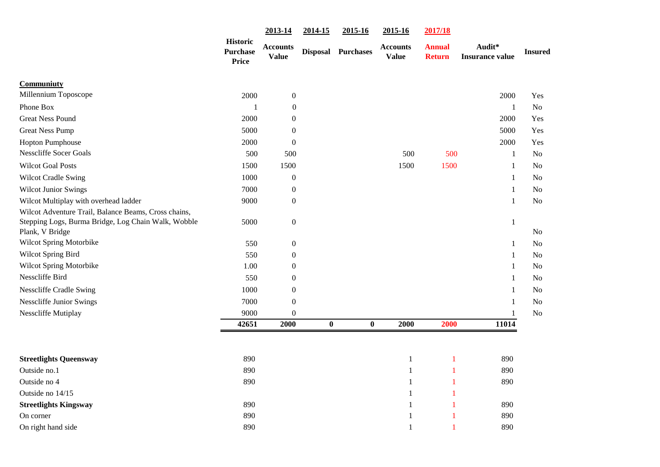|                                                                                                                                | <b>Historic</b><br><b>Purchase</b><br><b>Price</b> | 2013-14                  | 2014-15          | 2015-16          | 2015-16                         | 2017/18                        |                                  |                |
|--------------------------------------------------------------------------------------------------------------------------------|----------------------------------------------------|--------------------------|------------------|------------------|---------------------------------|--------------------------------|----------------------------------|----------------|
|                                                                                                                                |                                                    | Accounts<br><b>Value</b> | <b>Disposal</b>  | <b>Purchases</b> | <b>Accounts</b><br><b>Value</b> | <b>Annual</b><br><b>Return</b> | Audit*<br><b>Insurance value</b> | <b>Insured</b> |
| Communiuty                                                                                                                     |                                                    |                          |                  |                  |                                 |                                |                                  |                |
| Millennium Toposcope                                                                                                           | 2000                                               | $\boldsymbol{0}$         |                  |                  |                                 |                                | 2000                             | Yes            |
| Phone Box                                                                                                                      | $\mathbf{1}$                                       | $\mathbf{0}$             |                  |                  |                                 |                                | $\mathbf{1}$                     | N <sub>o</sub> |
| <b>Great Ness Pound</b>                                                                                                        | 2000                                               | $\theta$                 |                  |                  |                                 |                                | 2000                             | Yes            |
| <b>Great Ness Pump</b>                                                                                                         | 5000                                               | $\theta$                 |                  |                  |                                 |                                | 5000                             | Yes            |
| <b>Hopton Pumphouse</b>                                                                                                        | 2000                                               | $\boldsymbol{0}$         |                  |                  |                                 |                                | 2000                             | Yes            |
| <b>Nesscliffe Socer Goals</b>                                                                                                  | 500                                                | 500                      |                  |                  | 500                             | 500                            | $\mathbf{1}$                     | No             |
| <b>Wilcot Goal Posts</b>                                                                                                       | 1500                                               | 1500                     |                  |                  | 1500                            | 1500                           | 1                                | No             |
| <b>Wilcot Cradle Swing</b>                                                                                                     | 1000                                               | $\boldsymbol{0}$         |                  |                  |                                 |                                | 1                                | No             |
| <b>Wilcot Junior Swings</b>                                                                                                    | 7000                                               | $\boldsymbol{0}$         |                  |                  |                                 |                                | 1                                | No             |
| Wilcot Multiplay with overhead ladder                                                                                          | 9000                                               | $\boldsymbol{0}$         |                  |                  |                                 |                                | 1                                | No             |
| Wilcot Adventure Trail, Balance Beams, Cross chains,<br>Stepping Logs, Burma Bridge, Log Chain Walk, Wobble<br>Plank, V Bridge | 5000                                               | $\boldsymbol{0}$         |                  |                  |                                 |                                | $\mathbf{1}$                     | No             |
| Wilcot Spring Motorbike                                                                                                        | 550                                                | $\boldsymbol{0}$         |                  |                  |                                 |                                | 1                                | No             |
| <b>Wilcot Spring Bird</b>                                                                                                      | 550                                                | $\boldsymbol{0}$         |                  |                  |                                 |                                | $\mathbf{1}$                     | N <sub>o</sub> |
| Wilcot Spring Motorbike                                                                                                        | 1.00                                               | $\overline{0}$           |                  |                  |                                 |                                | $\mathbf{1}$                     | N <sub>0</sub> |
| Nesscliffe Bird                                                                                                                | 550                                                | $\overline{0}$           |                  |                  |                                 |                                | $\mathbf{1}$                     | N <sub>0</sub> |
| <b>Nesscliffe Cradle Swing</b>                                                                                                 | 1000                                               | $\boldsymbol{0}$         |                  |                  |                                 |                                | 1                                | No             |
| <b>Nesscliffe Junior Swings</b>                                                                                                | 7000                                               | $\boldsymbol{0}$         |                  |                  |                                 |                                | 1                                | No             |
| Nesscliffe Mutiplay                                                                                                            | 9000                                               | $\boldsymbol{0}$         |                  |                  |                                 |                                |                                  | No             |
|                                                                                                                                | 42651                                              | 2000                     | $\boldsymbol{0}$ | $\bf{0}$         | 2000                            | 2000                           | 11014                            |                |
|                                                                                                                                |                                                    |                          |                  |                  |                                 |                                |                                  |                |
| <b>Streetlights Queensway</b>                                                                                                  | 890                                                |                          |                  |                  | 1                               | $\mathbf{1}$                   | 890                              |                |
| Outside no.1                                                                                                                   | 890                                                |                          |                  |                  | 1                               | $\mathbf{1}$                   | 890                              |                |
| Outside no 4                                                                                                                   | 890                                                |                          |                  |                  | 1                               | 1                              | 890                              |                |
| Outside no 14/15                                                                                                               |                                                    |                          |                  |                  | 1                               | 1                              |                                  |                |
| <b>Streetlights Kingsway</b>                                                                                                   | 890                                                |                          |                  |                  | 1                               | -1                             | 890                              |                |
| On corner                                                                                                                      | 890                                                |                          |                  |                  | 1                               | 1                              | 890                              |                |
| On right hand side                                                                                                             | 890                                                |                          |                  |                  | 1                               | $\mathbf{1}$                   | 890                              |                |